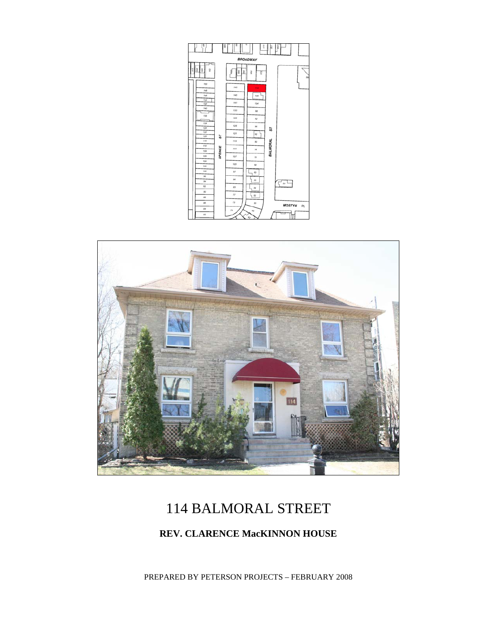



# 114 BALMORAL STREET

### **REV. CLARENCE MacKINNON HOUSE**

PREPARED BY PETERSON PROJECTS – FEBRUARY 2008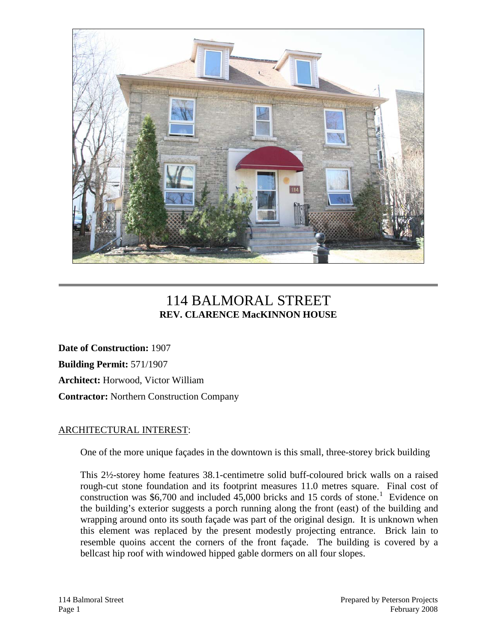

## 114 BALMORAL STREET **REV. CLARENCE MacKINNON HOUSE**

**Date of Construction:** 1907 **Building Permit:** 571/1907 **Architect:** Horwood, Victor William **Contractor:** Northern Construction Company

#### ARCHITECTURAL INTEREST:

One of the more unique façades in the downtown is this small, three-storey brick building

This 2½-storey home features 38.1-centimetre solid buff-coloured brick walls on a raised rough-cut stone foundation and its footprint measures 11.0 metres square. Final cost of construction was \$6,700 and included  $45,000$  bricks and [1](#page-6-0)5 cords of stone.<sup>1</sup> Evidence on the building's exterior suggests a porch running along the front (east) of the building and wrapping around onto its south façade was part of the original design. It is unknown when this element was replaced by the present modestly projecting entrance. Brick lain to resemble quoins accent the corners of the front façade. The building is covered by a bellcast hip roof with windowed hipped gable dormers on all four slopes.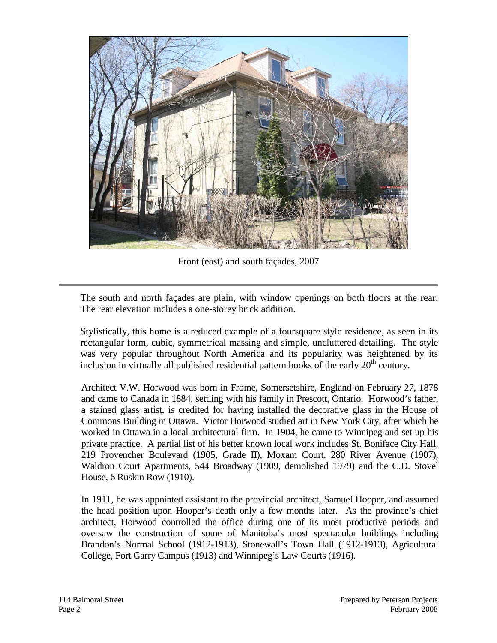

Front (east) and south façades, 2007

The south and north façades are plain, with window openings on both floors at the rear. The rear elevation includes a one-storey brick addition.

Stylistically, this home is a reduced example of a foursquare style residence, as seen in its rectangular form, cubic, symmetrical massing and simple, uncluttered detailing. The style was very popular throughout North America and its popularity was heightened by its inclusion in virtually all published residential pattern books of the early  $20<sup>th</sup>$  century.

Architect V.W. Horwood was born in Frome, Somersetshire, England on February 27, 1878 and came to Canada in 1884, settling with his family in Prescott, Ontario. Horwood's father, a stained glass artist, is credited for having installed the decorative glass in the House of Commons Building in Ottawa. Victor Horwood studied art in New York City, after which he worked in Ottawa in a local architectural firm. In 1904, he came to Winnipeg and set up his private practice. A partial list of his better known local work includes St. Boniface City Hall, 219 Provencher Boulevard (1905, Grade II), Moxam Court, 280 River Avenue (1907), Waldron Court Apartments, 544 Broadway (1909, demolished 1979) and the C.D. Stovel House, 6 Ruskin Row (1910).

In 1911, he was appointed assistant to the provincial architect, Samuel Hooper, and assumed the head position upon Hooper's death only a few months later. As the province's chief architect, Horwood controlled the office during one of its most productive periods and oversaw the construction of some of Manitoba's most spectacular buildings including Brandon's Normal School (1912-1913), Stonewall's Town Hall (1912-1913), Agricultural College, Fort Garry Campus (1913) and Winnipeg's Law Courts (1916).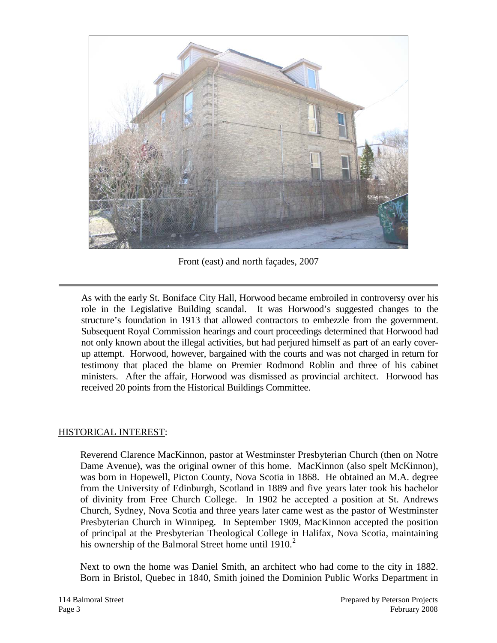

Front (east) and north façades, 2007

As with the early St. Boniface City Hall, Horwood became embroiled in controversy over his role in the Legislative Building scandal. It was Horwood's suggested changes to the structure's foundation in 1913 that allowed contractors to embezzle from the government. Subsequent Royal Commission hearings and court proceedings determined that Horwood had not only known about the illegal activities, but had perjured himself as part of an early coverup attempt. Horwood, however, bargained with the courts and was not charged in return for testimony that placed the blame on Premier Rodmond Roblin and three of his cabinet ministers. After the affair, Horwood was dismissed as provincial architect. Horwood has received 20 points from the Historical Buildings Committee.

#### HISTORICAL INTEREST:

Reverend Clarence MacKinnon, pastor at Westminster Presbyterian Church (then on Notre Dame Avenue), was the original owner of this home. MacKinnon (also spelt McKinnon), was born in Hopewell, Picton County, Nova Scotia in 1868. He obtained an M.A. degree from the University of Edinburgh, Scotland in 1889 and five years later took his bachelor of divinity from Free Church College. In 1902 he accepted a position at St. Andrews Church, Sydney, Nova Scotia and three years later came west as the pastor of Westminster Presbyterian Church in Winnipeg. In September 1909, MacKinnon accepted the position of principal at the Presbyterian Theological College in Halifax, Nova Scotia, maintaining his ownership of the Balmoral Street home until  $1910<sup>2</sup>$  $1910<sup>2</sup>$  $1910<sup>2</sup>$ 

Next to own the home was Daniel Smith, an architect who had come to the city in 1882. Born in Bristol, Quebec in 1840, Smith joined the Dominion Public Works Department in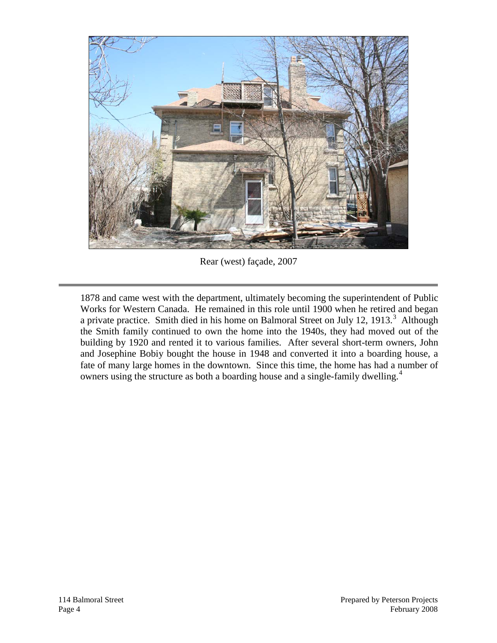

Rear (west) façade, 2007

1878 and came west with the department, ultimately becoming the superintendent of Public Works for Western Canada. He remained in this role until 1900 when he retired and began a private practice. Smith died in his home on Balmoral Street on July 12, 191[3](#page-6-2).<sup>3</sup> Although the Smith family continued to own the home into the 1940s, they had moved out of the building by 1920 and rented it to various families. After several short-term owners, John and Josephine Bobiy bought the house in 1948 and converted it into a boarding house, a fate of many large homes in the downtown. Since this time, the home has had a number of owners using the structure as both a boarding house and a single-family dwelling.[4](#page-6-3)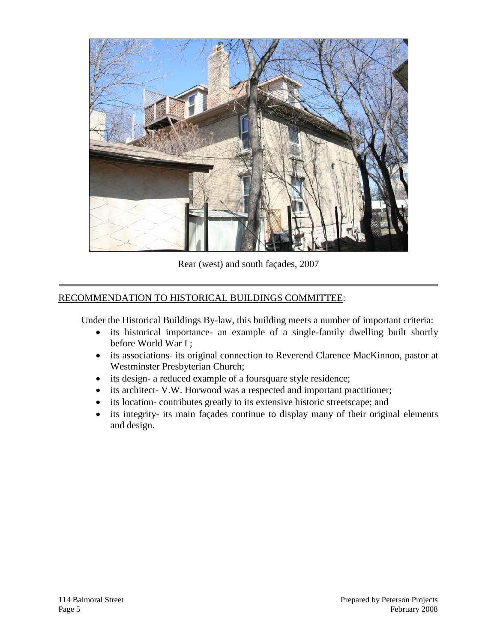

Rear (west) and south façades, 2007

#### RECOMMENDATION TO HISTORICAL BUILDINGS COMMITTEE:

Under the Historical Buildings By-law, this building meets a number of important criteria:

- its historical importance- an example of a single-family dwelling built shortly before World War I ;
- its associations- its original connection to Reverend Clarence MacKinnon, pastor at Westminster Presbyterian Church;
- its design- a reduced example of a foursquare style residence;
- its architect- V.W. Horwood was a respected and important practitioner;
- its location- contributes greatly to its extensive historic streetscape; and
- its integrity- its main façades continue to display many of their original elements and design.